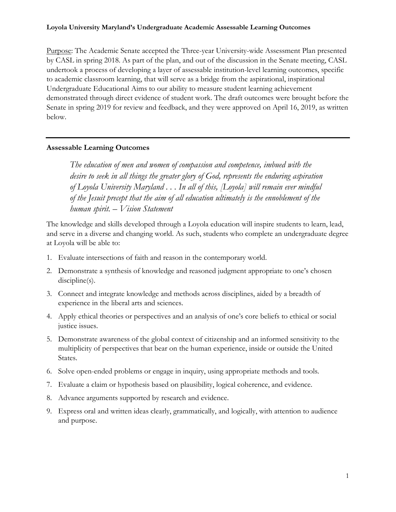## **Loyola University Maryland's Undergraduate Academic Assessable Learning Outcomes**

Purpose: The Academic Senate accepted the Three-year University-wide Assessment Plan presented by CASL in spring 2018. As part of the plan, and out of the discussion in the Senate meeting, CASL undertook a process of developing a layer of assessable institution-level learning outcomes, specific to academic classroom learning, that will serve as a bridge from the aspirational, inspirational Undergraduate Educational Aims to our ability to measure student learning achievement demonstrated through direct evidence of student work. The draft outcomes were brought before the Senate in spring 2019 for review and feedback, and they were approved on April 16, 2019, as written below.

## **Assessable Learning Outcomes**

*The education of men and women of compassion and competence, imbued with the desire to seek in all things the greater glory of God, represents the enduring aspiration of Loyola University Maryland . . . In all of this, [Loyola] will remain ever mindful of the Jesuit precept that the aim of all education ultimately is the ennoblement of the human spirit. – Vision Statement*

The knowledge and skills developed through a Loyola education will inspire students to learn, lead, and serve in a diverse and changing world. As such, students who complete an undergraduate degree at Loyola will be able to:

- 1. Evaluate intersections of faith and reason in the contemporary world.
- 2. Demonstrate a synthesis of knowledge and reasoned judgment appropriate to one's chosen discipline(s).
- 3. Connect and integrate knowledge and methods across disciplines, aided by a breadth of experience in the liberal arts and sciences.
- 4. Apply ethical theories or perspectives and an analysis of one's core beliefs to ethical or social justice issues.
- 5. Demonstrate awareness of the global context of citizenship and an informed sensitivity to the multiplicity of perspectives that bear on the human experience, inside or outside the United States.
- 6. Solve open-ended problems or engage in inquiry, using appropriate methods and tools.
- 7. Evaluate a claim or hypothesis based on plausibility, logical coherence, and evidence.
- 8. Advance arguments supported by research and evidence.
- 9. Express oral and written ideas clearly, grammatically, and logically, with attention to audience and purpose.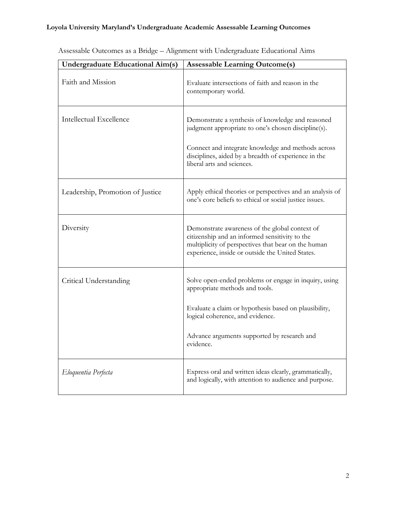## **Loyola University Maryland's Undergraduate Academic Assessable Learning Outcomes**

| <b>Undergraduate Educational Aim(s)</b> | <b>Assessable Learning Outcome(s)</b>                                                                                                                                                                       |
|-----------------------------------------|-------------------------------------------------------------------------------------------------------------------------------------------------------------------------------------------------------------|
| Faith and Mission                       | Evaluate intersections of faith and reason in the<br>contemporary world.                                                                                                                                    |
| <b>Intellectual Excellence</b>          | Demonstrate a synthesis of knowledge and reasoned<br>judgment appropriate to one's chosen discipline(s).                                                                                                    |
|                                         | Connect and integrate knowledge and methods across<br>disciplines, aided by a breadth of experience in the<br>liberal arts and sciences.                                                                    |
| Leadership, Promotion of Justice        | Apply ethical theories or perspectives and an analysis of<br>one's core beliefs to ethical or social justice issues.                                                                                        |
| Diversity                               | Demonstrate awareness of the global context of<br>citizenship and an informed sensitivity to the<br>multiplicity of perspectives that bear on the human<br>experience, inside or outside the United States. |
| Critical Understanding                  | Solve open-ended problems or engage in inquiry, using<br>appropriate methods and tools.                                                                                                                     |
|                                         | Evaluate a claim or hypothesis based on plausibility,<br>logical coherence, and evidence.                                                                                                                   |
|                                         | Advance arguments supported by research and<br>evidence.                                                                                                                                                    |
| Eloquentia Perfecta                     | Express oral and written ideas clearly, grammatically,<br>and logically, with attention to audience and purpose.                                                                                            |

Assessable Outcomes as a Bridge – Alignment with Undergraduate Educational Aims